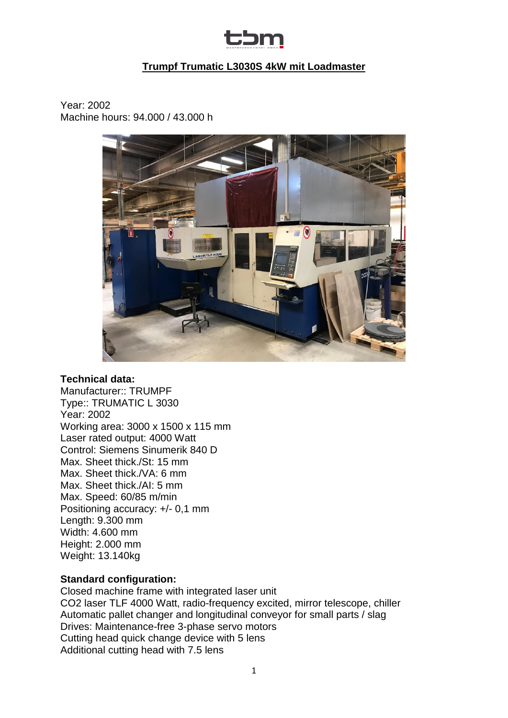

# **Trumpf Trumatic L3030S 4kW mit Loadmaster**

Year: 2002 Machine hours: 94.000 / 43.000 h



#### **Technical data:**

Manufacturer:: TRUMPF Type:: TRUMATIC L 3030 Year: 2002 Working area: 3000 x 1500 x 115 mm Laser rated output: 4000 Watt Control: Siemens Sinumerik 840 D Max. Sheet thick./St: 15 mm Max. Sheet thick./VA: 6 mm Max. Sheet thick./AI: 5 mm Max. Speed: 60/85 m/min Positioning accuracy: +/- 0,1 mm Length: 9.300 mm Width: 4.600 mm Height: 2.000 mm Weight: 13.140kg

### **Standard configuration:**

Closed machine frame with integrated laser unit CO2 laser TLF 4000 Watt, radio-frequency excited, mirror telescope, chiller Automatic pallet changer and longitudinal conveyor for small parts / slag Drives: Maintenance-free 3-phase servo motors Cutting head quick change device with 5 lens Additional cutting head with 7.5 lens